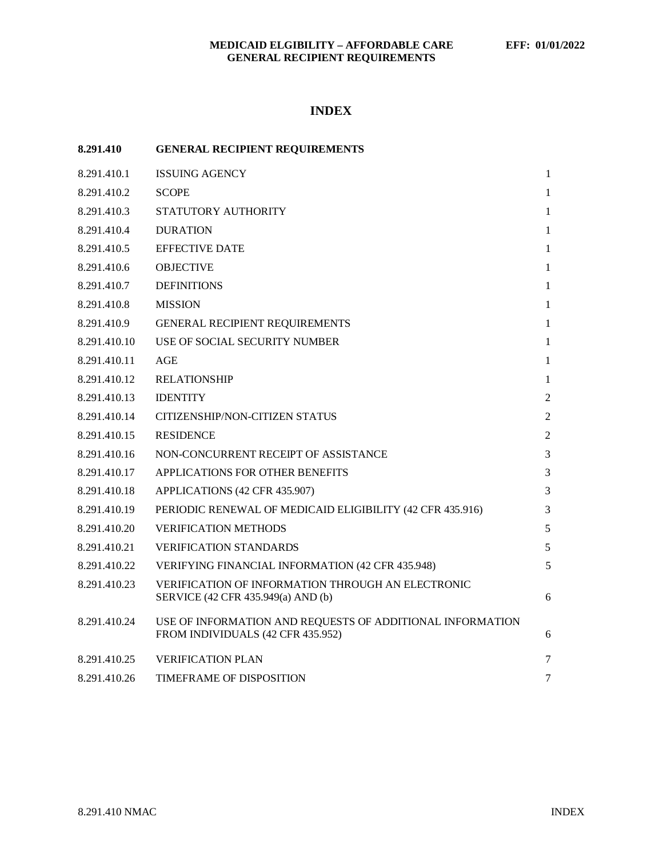# **INDEX**

| 8.291.410    | <b>GENERAL RECIPIENT REQUIREMENTS</b>                                                          |                |
|--------------|------------------------------------------------------------------------------------------------|----------------|
| 8.291.410.1  | <b>ISSUING AGENCY</b>                                                                          | $\mathbf{1}$   |
| 8.291.410.2  | <b>SCOPE</b>                                                                                   | $\mathbf{1}$   |
| 8.291.410.3  | STATUTORY AUTHORITY                                                                            | $\mathbf{1}$   |
| 8.291.410.4  | <b>DURATION</b>                                                                                | $\mathbf{1}$   |
| 8.291.410.5  | <b>EFFECTIVE DATE</b>                                                                          | $\mathbf{1}$   |
| 8.291.410.6  | <b>OBJECTIVE</b>                                                                               | $\mathbf{1}$   |
| 8.291.410.7  | <b>DEFINITIONS</b>                                                                             | $\mathbf{1}$   |
| 8.291.410.8  | <b>MISSION</b>                                                                                 | $\mathbf{1}$   |
| 8.291.410.9  | GENERAL RECIPIENT REQUIREMENTS                                                                 | $\mathbf{1}$   |
| 8.291.410.10 | USE OF SOCIAL SECURITY NUMBER                                                                  | $\mathbf{1}$   |
| 8.291.410.11 | AGE                                                                                            | $\mathbf{1}$   |
| 8.291.410.12 | <b>RELATIONSHIP</b>                                                                            | 1              |
| 8.291.410.13 | <b>IDENTITY</b>                                                                                | 2              |
| 8.291.410.14 | CITIZENSHIP/NON-CITIZEN STATUS                                                                 | $\overline{2}$ |
| 8.291.410.15 | <b>RESIDENCE</b>                                                                               | $\overline{2}$ |
| 8.291.410.16 | NON-CONCURRENT RECEIPT OF ASSISTANCE                                                           | 3              |
| 8.291.410.17 | APPLICATIONS FOR OTHER BENEFITS                                                                | 3              |
| 8.291.410.18 | APPLICATIONS (42 CFR 435.907)                                                                  | 3              |
| 8.291.410.19 | PERIODIC RENEWAL OF MEDICAID ELIGIBILITY (42 CFR 435.916)                                      | 3              |
| 8.291.410.20 | <b>VERIFICATION METHODS</b>                                                                    | 5              |
| 8.291.410.21 | <b>VERIFICATION STANDARDS</b>                                                                  | 5              |
| 8.291.410.22 | VERIFYING FINANCIAL INFORMATION (42 CFR 435.948)                                               | 5              |
| 8.291.410.23 | VERIFICATION OF INFORMATION THROUGH AN ELECTRONIC<br>SERVICE (42 CFR 435.949(a) AND (b)        | 6              |
| 8.291.410.24 | USE OF INFORMATION AND REQUESTS OF ADDITIONAL INFORMATION<br>FROM INDIVIDUALS (42 CFR 435.952) | 6              |
| 8.291.410.25 | <b>VERIFICATION PLAN</b>                                                                       | 7              |
| 8.291.410.26 | TIMEFRAME OF DISPOSITION                                                                       | 7              |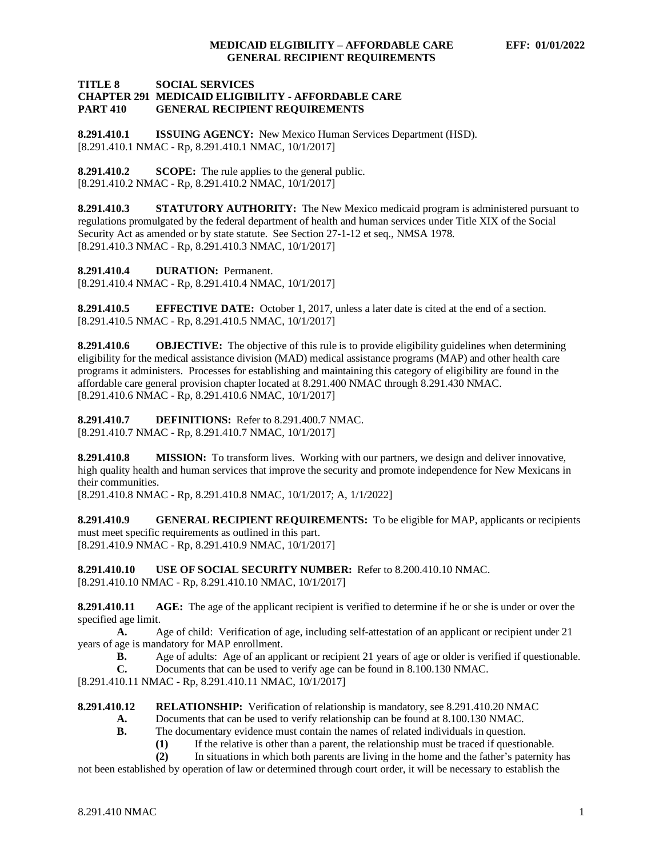## **TITLE 8 SOCIAL SERVICES CHAPTER 291 MEDICAID ELIGIBILITY - AFFORDABLE CARE GENERAL RECIPIENT REQUIREMENTS**

<span id="page-1-0"></span>**8.291.410.1 ISSUING AGENCY:** New Mexico Human Services Department (HSD). [8.291.410.1 NMAC - Rp, 8.291.410.1 NMAC, 10/1/2017]

<span id="page-1-1"></span>**8.291.410.2 SCOPE:** The rule applies to the general public. [8.291.410.2 NMAC - Rp, 8.291.410.2 NMAC, 10/1/2017]

<span id="page-1-2"></span>**8.291.410.3 STATUTORY AUTHORITY:** The New Mexico medicaid program is administered pursuant to regulations promulgated by the federal department of health and human services under Title XIX of the Social Security Act as amended or by state statute. See Section 27-1-12 et seq., NMSA 1978. [8.291.410.3 NMAC - Rp, 8.291.410.3 NMAC, 10/1/2017]

<span id="page-1-3"></span>**8.291.410.4 DURATION:** Permanent.

[8.291.410.4 NMAC - Rp, 8.291.410.4 NMAC, 10/1/2017]

<span id="page-1-4"></span>**8.291.410.5 EFFECTIVE DATE:** October 1, 2017, unless a later date is cited at the end of a section. [8.291.410.5 NMAC - Rp, 8.291.410.5 NMAC, 10/1/2017]

<span id="page-1-5"></span>**8.291.410.6 OBJECTIVE:** The objective of this rule is to provide eligibility guidelines when determining eligibility for the medical assistance division (MAD) medical assistance programs (MAP) and other health care programs it administers. Processes for establishing and maintaining this category of eligibility are found in the affordable care general provision chapter located at 8.291.400 NMAC through 8.291.430 NMAC. [8.291.410.6 NMAC - Rp, 8.291.410.6 NMAC, 10/1/2017]

<span id="page-1-6"></span>**8.291.410.7 DEFINITIONS:** Refer to 8.291.400.7 NMAC. [8.291.410.7 NMAC - Rp, 8.291.410.7 NMAC, 10/1/2017]

<span id="page-1-7"></span>**8.291.410.8 MISSION:** To transform lives. Working with our partners, we design and deliver innovative, high quality health and human services that improve the security and promote independence for New Mexicans in their communities.

[8.291.410.8 NMAC - Rp, 8.291.410.8 NMAC, 10/1/2017; A, 1/1/2022]

<span id="page-1-8"></span>**8.291.410.9 GENERAL RECIPIENT REQUIREMENTS:** To be eligible for MAP, applicants or recipients must meet specific requirements as outlined in this part. [8.291.410.9 NMAC - Rp, 8.291.410.9 NMAC, 10/1/2017]

<span id="page-1-9"></span>**8.291.410.10 USE OF SOCIAL SECURITY NUMBER:** Refer to 8.200.410.10 NMAC. [8.291.410.10 NMAC - Rp, 8.291.410.10 NMAC, 10/1/2017]

<span id="page-1-10"></span>**8.291.410.11 AGE:** The age of the applicant recipient is verified to determine if he or she is under or over the specified age limit.

**A.** Age of child: Verification of age, including self-attestation of an applicant or recipient under 21 years of age is mandatory for MAP enrollment.

- **B.** Age of adults: Age of an applicant or recipient 21 years of age or older is verified if questionable.
- **C.** Documents that can be used to verify age can be found in 8.100.130 NMAC.

[8.291.410.11 NMAC - Rp, 8.291.410.11 NMAC, 10/1/2017]

<span id="page-1-11"></span>**8.291.410.12 RELATIONSHIP:** Verification of relationship is mandatory, see 8.291.410.20 NMAC

- **A.** Documents that can be used to verify relationship can be found at 8.100.130 NMAC.
- **B.** The documentary evidence must contain the names of related individuals in question.
	- (1) If the relative is other than a parent, the relationship must be traced if questionable.<br>(2) In situations in which both parents are living in the home and the father's paternity

**(2)** In situations in which both parents are living in the home and the father's paternity has

not been established by operation of law or determined through court order, it will be necessary to establish the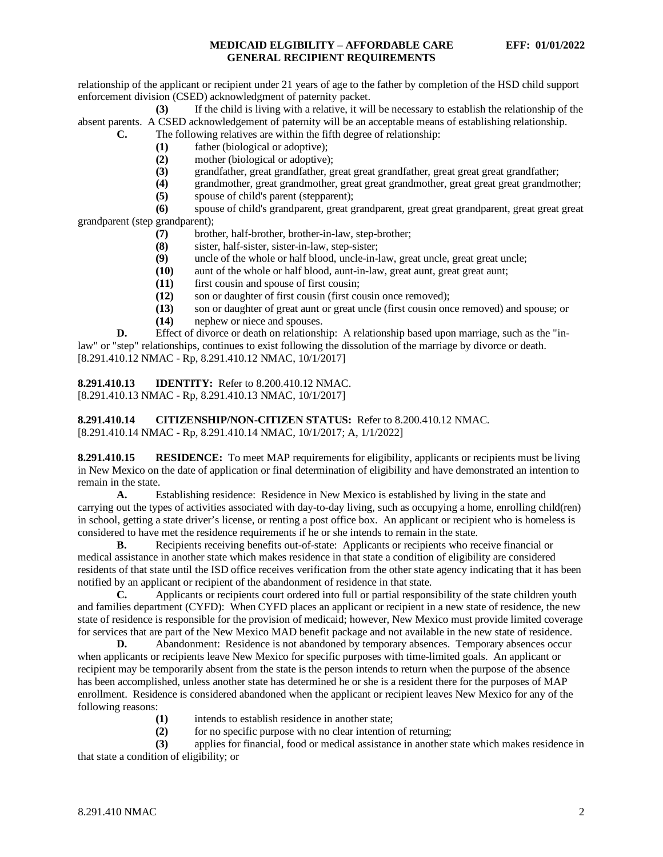relationship of the applicant or recipient under 21 years of age to the father by completion of the HSD child support enforcement division (CSED) acknowledgment of paternity packet.

**(3)** If the child is living with a relative, it will be necessary to establish the relationship of the absent parents. A CSED acknowledgement of paternity will be an acceptable means of establishing relationship. **C.** The following relatives are within the fifth degree of relationship:

- **(1)** father (biological or adoptive);
- **(2)** mother (biological or adoptive);
- 
- **(3)** grandfather, great grandfather, great great grandfather, great great great grandfather; **(4)** grandmother, great grandmother, great great grandmother, great great great grandmother;
- **(5)** spouse of child's parent (stepparent);

**(6)** spouse of child's grandparent, great grandparent, great great grandparent, great great great grandparent (step grandparent);

- **(7)** brother, half-brother, brother-in-law, step-brother;
- **(8)** sister, half-sister, sister-in-law, step-sister;
- **(9)** uncle of the whole or half blood, uncle-in-law, great uncle, great great uncle;
- **(10)** aunt of the whole or half blood, aunt-in-law, great aunt, great great aunt;
- **(11)** first cousin and spouse of first cousin;
- **(12)** son or daughter of first cousin (first cousin once removed);
- **(13)** son or daughter of great aunt or great uncle (first cousin once removed) and spouse; or
- **(14)** nephew or niece and spouses.

**D.** Effect of divorce or death on relationship: A relationship based upon marriage, such as the "inlaw" or "step" relationships, continues to exist following the dissolution of the marriage by divorce or death. [8.291.410.12 NMAC - Rp, 8.291.410.12 NMAC, 10/1/2017]

<span id="page-2-0"></span>**8.291.410.13 IDENTITY:** Refer to 8.200.410.12 NMAC. [8.291.410.13 NMAC - Rp, 8.291.410.13 NMAC, 10/1/2017]

<span id="page-2-1"></span>**8.291.410.14 CITIZENSHIP/NON-CITIZEN STATUS:** Refer to 8.200.410.12 NMAC. [8.291.410.14 NMAC - Rp, 8.291.410.14 NMAC, 10/1/2017; A, 1/1/2022]

<span id="page-2-2"></span>**8.291.410.15 RESIDENCE:** To meet MAP requirements for eligibility, applicants or recipients must be living in New Mexico on the date of application or final determination of eligibility and have demonstrated an intention to remain in the state.

**A.** Establishing residence: Residence in New Mexico is established by living in the state and carrying out the types of activities associated with day-to-day living, such as occupying a home, enrolling child(ren) in school, getting a state driver's license, or renting a post office box. An applicant or recipient who is homeless is considered to have met the residence requirements if he or she intends to remain in the state.

**B.** Recipients receiving benefits out-of-state: Applicants or recipients who receive financial or medical assistance in another state which makes residence in that state a condition of eligibility are considered residents of that state until the ISD office receives verification from the other state agency indicating that it has been notified by an applicant or recipient of the abandonment of residence in that state.

**C.** Applicants or recipients court ordered into full or partial responsibility of the state children youth and families department (CYFD): When CYFD places an applicant or recipient in a new state of residence, the new state of residence is responsible for the provision of medicaid; however, New Mexico must provide limited coverage for services that are part of the New Mexico MAD benefit package and not available in the new state of residence.<br> **D.** Abandonment: Residence is not abandoned by temporary absences. Temporary absences occur

**D.** Abandonment: Residence is not abandoned by temporary absences. Temporary absences occur when applicants or recipients leave New Mexico for specific purposes with time-limited goals. An applicant or recipient may be temporarily absent from the state is the person intends to return when the purpose of the absence has been accomplished, unless another state has determined he or she is a resident there for the purposes of MAP enrollment. Residence is considered abandoned when the applicant or recipient leaves New Mexico for any of the following reasons:

- **(1)** intends to establish residence in another state;
- **(2)** for no specific purpose with no clear intention of returning;<br>**(3)** applies for financial, food or medical assistance in another s

**(3)** applies for financial, food or medical assistance in another state which makes residence in that state a condition of eligibility; or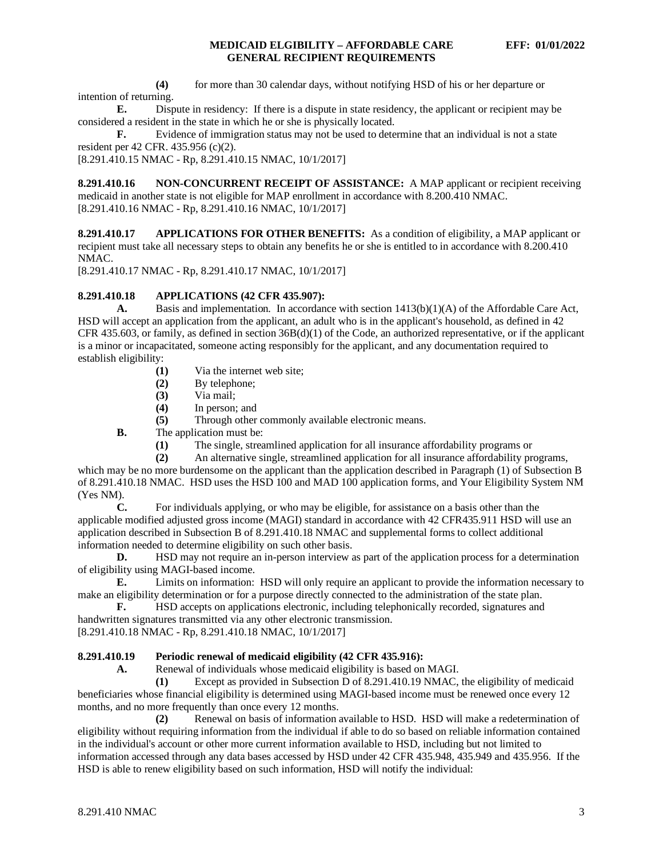**(4)** for more than 30 calendar days, without notifying HSD of his or her departure or intention of returning.

**E.** Dispute in residency: If there is a dispute in state residency, the applicant or recipient may be considered a resident in the state in which he or she is physically located.

**F.** Evidence of immigration status may not be used to determine that an individual is not a state resident per 42 CFR. 435.956 (c)(2).

[8.291.410.15 NMAC - Rp, 8.291.410.15 NMAC, 10/1/2017]

<span id="page-3-0"></span>**8.291.410.16 NON-CONCURRENT RECEIPT OF ASSISTANCE:** A MAP applicant or recipient receiving medicaid in another state is not eligible for MAP enrollment in accordance with 8.200.410 NMAC. [8.291.410.16 NMAC - Rp, 8.291.410.16 NMAC, 10/1/2017]

<span id="page-3-1"></span>**8.291.410.17 APPLICATIONS FOR OTHER BENEFITS:** As a condition of eligibility, a MAP applicant or recipient must take all necessary steps to obtain any benefits he or she is entitled to in accordance with 8.200.410 NMAC.

[8.291.410.17 NMAC - Rp, 8.291.410.17 NMAC, 10/1/2017]

## <span id="page-3-2"></span>**8.291.410.18 APPLICATIONS (42 CFR 435.907):**

**A.** Basis and implementation*.* In accordance with section 1413(b)(1)(A) of the Affordable Care Act, HSD will accept an application from the applicant, an adult who is in the applicant's household, as defined in 42 CFR 435.603, or family, as defined in section  $36B(d)(1)$  of the Code, an authorized representative, or if the applicant is a minor or incapacitated, someone acting responsibly for the applicant, and any documentation required to establish eligibility:

- **(1)** Via the internet web site;
- **(2)** By telephone;
- **(3)** Via mail;
- **(4)** In person; and
- **(5)** Through other commonly available electronic means.

**B.** The application must be:

- (1) The single, streamlined application for all insurance affordability programs or (2) An alternative single, streamlined application for all insurance affordability pro
- **(2)** An alternative single, streamlined application for all insurance affordability programs,

which may be no more burdensome on the applicant than the application described in Paragraph (1) of Subsection B of 8.291.410.18 NMAC. HSD uses the HSD 100 and MAD 100 application forms, and Your Eligibility System NM (Yes NM).

**C.** For individuals applying, or who may be eligible, for assistance on a basis other than the applicable modified adjusted gross income (MAGI) standard in accordance with 42 CFR435.911 HSD will use an application described in Subsection B of 8.291.410.18 NMAC and supplemental forms to collect additional information needed to determine eligibility on such other basis.

**D.** HSD may not require an in-person interview as part of the application process for a determination of eligibility using MAGI-based income.

**E.** Limits on information: HSD will only require an applicant to provide the information necessary to make an eligibility determination or for a purpose directly connected to the administration of the state plan.<br> **F.** HSD accepts on applications electronic, including telephonically recorded, signatures and

**F.** HSD accepts on applications electronic, including telephonically recorded, signatures and handwritten signatures transmitted via any other electronic transmission. [8.291.410.18 NMAC - Rp, 8.291.410.18 NMAC, 10/1/2017]

# <span id="page-3-3"></span>**8.291.410.19 Periodic renewal of medicaid eligibility (42 CFR 435.916):**

**A.** Renewal of individuals whose medicaid eligibility is based on MAGI.

**(1)** Except as provided in Subsection D of 8.291.410.19 NMAC, the eligibility of medicaid beneficiaries whose financial eligibility is determined using MAGI-based income must be renewed once every 12 months, and no more frequently than once every 12 months.

**(2)** Renewal on basis of information available to HSD. HSD will make a redetermination of eligibility without requiring information from the individual if able to do so based on reliable information contained in the individual's account or other more current information available to HSD, including but not limited to information accessed through any data bases accessed by HSD under 42 CFR 435.948, 435.949 and 435.956. If the HSD is able to renew eligibility based on such information, HSD will notify the individual: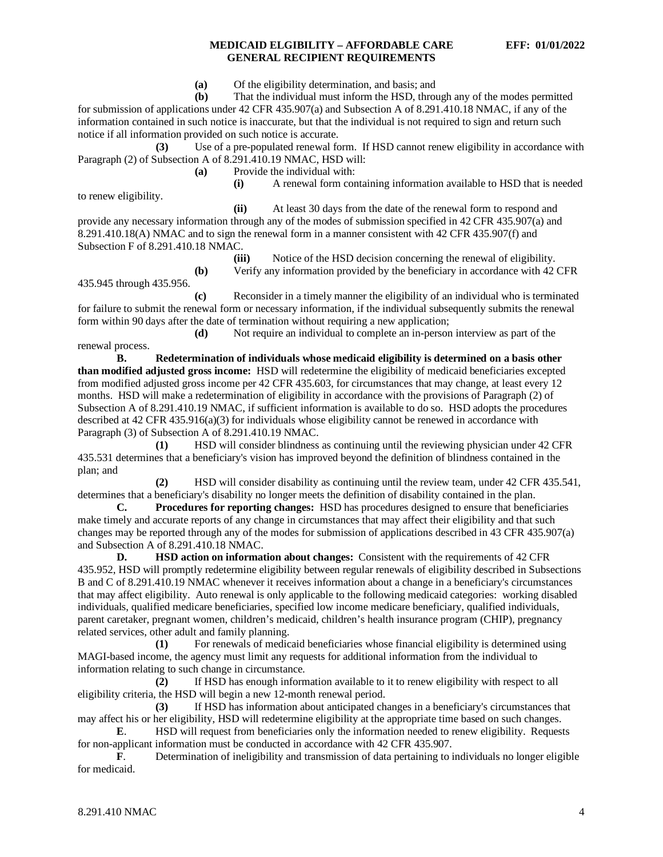**(a)** Of the eligibility determination, and basis; and

**(b)** That the individual must inform the HSD, through any of the modes permitted for submission of applications under 42 CFR 435.907(a) and Subsection A of 8.291.410.18 NMAC, if any of the information contained in such notice is inaccurate, but that the individual is not required to sign and return such notice if all information provided on such notice is accurate.

**(3)** Use of a pre-populated renewal form. If HSD cannot renew eligibility in accordance with Paragraph (2) of Subsection A of 8.291.410.19 NMAC, HSD will:

**(a)** Provide the individual with:

to renew eligibility.

**(i)** A renewal form containing information available to HSD that is needed

**(ii)** At least 30 days from the date of the renewal form to respond and provide any necessary information through any of the modes of submission specified in 42 CFR 435.907(a) and 8.291.410.18(A) NMAC and to sign the renewal form in a manner consistent with 42 CFR 435.907(f) and Subsection F of 8.291.410.18 NMAC.

**(iii)** Notice of the HSD decision concerning the renewal of eligibility. **(b)** Verify any information provided by the beneficiary in accordance with 42 CFR

435.945 through 435.956.

**(c)** Reconsider in a timely manner the eligibility of an individual who is terminated for failure to submit the renewal form or necessary information, if the individual subsequently submits the renewal form within 90 days after the date of termination without requiring a new application;

**(d)** Not require an individual to complete an in-person interview as part of the renewal process.

**B. Redetermination of individuals whose medicaid eligibility is determined on a basis other than modified adjusted gross income:** HSD will redetermine the eligibility of medicaid beneficiaries excepted from modified adjusted gross income per 42 CFR 435.603, for circumstances that may change, at least every 12 months. HSD will make a redetermination of eligibility in accordance with the provisions of Paragraph (2) of Subsection A of 8.291.410.19 NMAC, if sufficient information is available to do so. HSD adopts the procedures described at 42 CFR 435.916(a)(3) for individuals whose eligibility cannot be renewed in accordance with Paragraph (3) of Subsection A of 8.291.410.19 NMAC.

**(1)** HSD will consider blindness as continuing until the reviewing physician under 42 CFR 435.531 determines that a beneficiary's vision has improved beyond the definition of blindness contained in the plan; and

**(2)** HSD will consider disability as continuing until the review team, under 42 CFR 435.541, determines that a beneficiary's disability no longer meets the definition of disability contained in the plan.<br> **C.** Procedures for reporting changes: HSD has procedures designed to ensure that benef

**C. Procedures for reporting changes:** HSD has procedures designed to ensure that beneficiaries make timely and accurate reports of any change in circumstances that may affect their eligibility and that such changes may be reported through any of the modes for submission of applications described in 43 CFR 435.907(a) and Subsection A of 8.291.410.18 NMAC.

**D. HSD** action on information about changes: Consistent with the requirements of 42 CFR 435.952, HSD will promptly redetermine eligibility between regular renewals of eligibility described in Subsections B and C of 8.291.410.19 NMAC whenever it receives information about a change in a beneficiary's circumstances that may affect eligibility. Auto renewal is only applicable to the following medicaid categories: working disabled individuals, qualified medicare beneficiaries, specified low income medicare beneficiary, qualified individuals, parent caretaker, pregnant women, children's medicaid, children's health insurance program (CHIP), pregnancy related services, other adult and family planning.

**(1)** For renewals of medicaid beneficiaries whose financial eligibility is determined using MAGI-based income, the agency must limit any requests for additional information from the individual to information relating to such change in circumstance.

**(2)** If HSD has enough information available to it to renew eligibility with respect to all eligibility criteria, the HSD will begin a new 12-month renewal period.

**(3)** If HSD has information about anticipated changes in a beneficiary's circumstances that may affect his or her eligibility, HSD will redetermine eligibility at the appropriate time based on such changes.

**E.** HSD will request from beneficiaries only the information needed to renew eligibility. Requests for non-applicant information must be conducted in accordance with 42 CFR 435.907.

**F**. Determination of ineligibility and transmission of data pertaining to individuals no longer eligible for medicaid.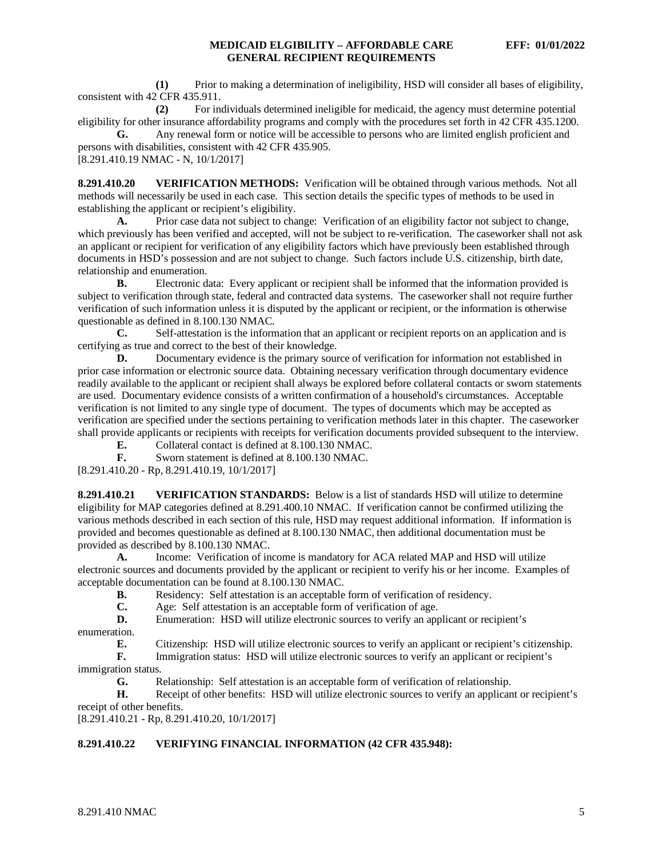**(1)** Prior to making a determination of ineligibility, HSD will consider all bases of eligibility, consistent with 42 CFR 435.911.

**(2)** For individuals determined ineligible for medicaid, the agency must determine potential eligibility for other insurance affordability programs and comply with the procedures set forth in 42 CFR 435.1200.

**G.** Any renewal form or notice will be accessible to persons who are limited english proficient and persons with disabilities, consistent with 42 CFR 435.905.

[8.291.410.19 NMAC - N, 10/1/2017]

<span id="page-5-0"></span>**8.291.410.20 VERIFICATION METHODS:** Verification will be obtained through various methods. Not all methods will necessarily be used in each case. This section details the specific types of methods to be used in establishing the applicant or recipient's eligibility.

**A.** Prior case data not subject to change: Verification of an eligibility factor not subject to change, which previously has been verified and accepted, will not be subject to re-verification. The caseworker shall not ask an applicant or recipient for verification of any eligibility factors which have previously been established through documents in HSD's possession and are not subject to change. Such factors include U.S. citizenship, birth date, relationship and enumeration.

**B.** Electronic data: Every applicant or recipient shall be informed that the information provided is subject to verification through state, federal and contracted data systems. The caseworker shall not require further verification of such information unless it is disputed by the applicant or recipient, or the information is otherwise questionable as defined in 8.100.130 NMAC.

**C.** Self-attestation is the information that an applicant or recipient reports on an application and is certifying as true and correct to the best of their knowledge.

**D.** Documentary evidence is the primary source of verification for information not established in prior case information or electronic source data. Obtaining necessary verification through documentary evidence readily available to the applicant or recipient shall always be explored before collateral contacts or sworn statements are used. Documentary evidence consists of a written confirmation of a household's circumstances. Acceptable verification is not limited to any single type of document. The types of documents which may be accepted as verification are specified under the sections pertaining to verification methods later in this chapter. The caseworker shall provide applicants or recipients with receipts for verification documents provided subsequent to the interview.

**E.** Collateral contact is defined at 8.100.130 NMAC.<br>**F.** Sworn statement is defined at 8.100.130 NMAC.

**F.** Sworn statement is defined at 8.100.130 NMAC.

[8.291.410.20 - Rp, 8.291.410.19, 10/1/2017]

<span id="page-5-1"></span>**8.291.410.21 VERIFICATION STANDARDS:** Below is a list of standards HSD will utilize to determine eligibility for MAP categories defined at 8.291.400.10 NMAC. If verification cannot be confirmed utilizing the various methods described in each section of this rule, HSD may request additional information. If information is provided and becomes questionable as defined at 8.100.130 NMAC, then additional documentation must be provided as described by 8.100.130 NMAC.

**A.** Income: Verification of income is mandatory for ACA related MAP and HSD will utilize electronic sources and documents provided by the applicant or recipient to verify his or her income. Examples of acceptable documentation can be found at 8.100.130 NMAC.<br> **B.** Residency: Self attestation is an acceptable

**B.** Residency: Self attestation is an acceptable form of verification of residency.<br> **C.** Age: Self attestation is an acceptable form of verification of age.

**C.** Age: Self attestation is an acceptable form of verification of age.<br>**D.** Enumeration: HSD will utilize electronic sources to verify an approximate

Enumeration: HSD will utilize electronic sources to verify an applicant or recipient's enumeration.<br>E.

**E.** Citizenship: HSD will utilize electronic sources to verify an applicant or recipient's citizenship.

**F.** Immigration status: HSD will utilize electronic sources to verify an applicant or recipient's immigration status.<br> **G.** R

**G.** Relationship: Self attestation is an acceptable form of verification of relationship.

**H.** Receipt of other benefits: HSD will utilize electronic sources to verify an applicant or recipient's receipt of other benefits.

[8.291.410.21 - Rp, 8.291.410.20, 10/1/2017]

# <span id="page-5-2"></span>**8.291.410.22 VERIFYING FINANCIAL INFORMATION (42 CFR 435.948):**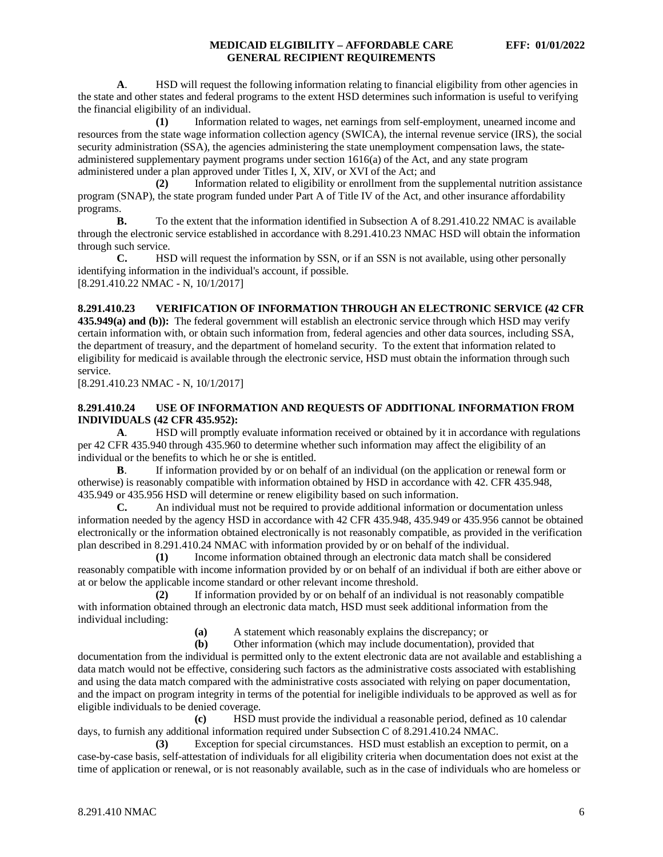**A**. HSD will request the following information relating to financial eligibility from other agencies in the state and other states and federal programs to the extent HSD determines such information is useful to verifying the financial eligibility of an individual.

**(1)** Information related to wages, net earnings from self-employment, unearned income and resources from the state wage information collection agency (SWICA), the internal revenue service (IRS), the social security administration (SSA), the agencies administering the state unemployment compensation laws, the stateadministered supplementary payment programs under section 1616(a) of the Act, and any state program administered under a plan approved under Titles I, X, XIV, or XVI of the Act; and

**(2)** Information related to eligibility or enrollment from the supplemental nutrition assistance program (SNAP), the state program funded under Part A of Title IV of the Act, and other insurance affordability programs.

**B.** To the extent that the information identified in Subsection A of 8.291.410.22 NMAC is available through the electronic service established in accordance with 8.291.410.23 NMAC HSD will obtain the information through such service.

**C.** HSD will request the information by SSN, or if an SSN is not available, using other personally identifying information in the individual's account, if possible. [8.291.410.22 NMAC - N, 10/1/2017]

## <span id="page-6-0"></span>**8.291.410.23 VERIFICATION OF INFORMATION THROUGH AN ELECTRONIC SERVICE (42 CFR**

**435.949(a) and (b)):** The federal government will establish an electronic service through which HSD may verify certain information with, or obtain such information from, federal agencies and other data sources, including SSA, the department of treasury, and the department of homeland security. To the extent that information related to eligibility for medicaid is available through the electronic service, HSD must obtain the information through such service.

[8.291.410.23 NMAC - N, 10/1/2017]

## <span id="page-6-1"></span>**8.291.410.24 USE OF INFORMATION AND REQUESTS OF ADDITIONAL INFORMATION FROM INDIVIDUALS (42 CFR 435.952):**

**A**. HSD will promptly evaluate information received or obtained by it in accordance with regulations per 42 CFR 435.940 through 435.960 to determine whether such information may affect the eligibility of an individual or the benefits to which he or she is entitled.

**B**. If information provided by or on behalf of an individual (on the application or renewal form or otherwise) is reasonably compatible with information obtained by HSD in accordance with 42. CFR 435.948, 435.949 or 435.956 HSD will determine or renew eligibility based on such information.

**C.** An individual must not be required to provide additional information or documentation unless information needed by the agency HSD in accordance with 42 CFR 435.948, 435.949 or 435.956 cannot be obtained electronically or the information obtained electronically is not reasonably compatible, as provided in the verification plan described in 8.291.410.24 NMAC with information provided by or on behalf of the individual.

**(1)** Income information obtained through an electronic data match shall be considered reasonably compatible with income information provided by or on behalf of an individual if both are either above or at or below the applicable income standard or other relevant income threshold.

**(2)** If information provided by or on behalf of an individual is not reasonably compatible with information obtained through an electronic data match, HSD must seek additional information from the individual including:

**(a)** A statement which reasonably explains the discrepancy; or **(b)** Other information (which may include documentation), pro

**(b)** Other information (which may include documentation), provided that

documentation from the individual is permitted only to the extent electronic data are not available and establishing a data match would not be effective, considering such factors as the administrative costs associated with establishing and using the data match compared with the administrative costs associated with relying on paper documentation, and the impact on program integrity in terms of the potential for ineligible individuals to be approved as well as for eligible individuals to be denied coverage.

**(c)** HSD must provide the individual a reasonable period, defined as 10 calendar days, to furnish any additional information required under Subsection C of 8.291.410.24 NMAC.

**(3)** Exception for special circumstances. HSD must establish an exception to permit, on a case-by-case basis, self-attestation of individuals for all eligibility criteria when documentation does not exist at the time of application or renewal, or is not reasonably available, such as in the case of individuals who are homeless or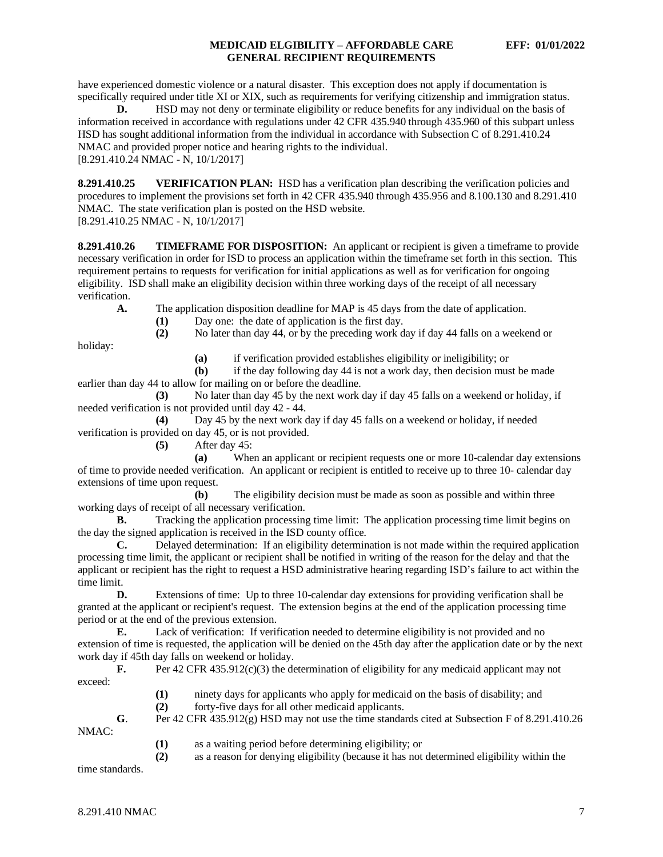have experienced domestic violence or a natural disaster. This exception does not apply if documentation is specifically required under title XI or XIX, such as requirements for verifying citizenship and immigration status.

**D.** HSD may not deny or terminate eligibility or reduce benefits for any individual on the basis of information received in accordance with regulations under 42 CFR 435.940 through 435.960 of this subpart unless HSD has sought additional information from the individual in accordance with Subsection C of 8.291.410.24 NMAC and provided proper notice and hearing rights to the individual. [8.291.410.24 NMAC - N, 10/1/2017]

<span id="page-7-0"></span>**8.291.410.25 VERIFICATION PLAN:** HSD has a verification plan describing the verification policies and procedures to implement the provisions set forth in 42 CFR 435.940 through 435.956 and 8.100.130 and 8.291.410 NMAC. The state verification plan is posted on the HSD website. [8.291.410.25 NMAC - N, 10/1/2017]

<span id="page-7-1"></span>**8.291.410.26 TIMEFRAME FOR DISPOSITION:** An applicant or recipient is given a timeframe to provide necessary verification in order for ISD to process an application within the timeframe set forth in this section. This requirement pertains to requests for verification for initial applications as well as for verification for ongoing eligibility. ISD shall make an eligibility decision within three working days of the receipt of all necessary verification.

**A.** The application disposition deadline for MAP is 45 days from the date of application.

(1) Day one: the date of application is the first day.<br>
(2) No later than day 44, or by the preceding work d **(2)** No later than day 44, or by the preceding work day if day 44 falls on a weekend or

holiday:

**(a)** if verification provided establishes eligibility or ineligibility; or

**(b)** if the day following day 44 is not a work day, then decision must be made earlier than day 44 to allow for mailing on or before the deadline.

**(3)** No later than day 45 by the next work day if day 45 falls on a weekend or holiday, if needed verification is not provided until day 42 - 44.

**(4)** Day 45 by the next work day if day 45 falls on a weekend or holiday, if needed verification is provided on day 45, or is not provided.

**(5)** After day 45:

**(a)** When an applicant or recipient requests one or more 10-calendar day extensions of time to provide needed verification. An applicant or recipient is entitled to receive up to three 10- calendar day extensions of time upon request.

**(b)** The eligibility decision must be made as soon as possible and within three working days of receipt of all necessary verification.

**B.** Tracking the application processing time limit: The application processing time limit begins on the day the signed application is received in the ISD county office.

**C.** Delayed determination: If an eligibility determination is not made within the required application processing time limit, the applicant or recipient shall be notified in writing of the reason for the delay and that the applicant or recipient has the right to request a HSD administrative hearing regarding ISD's failure to act within the time limit.<br> $\mathbf{D}$ .

**D.** Extensions of time: Up to three 10-calendar day extensions for providing verification shall be granted at the applicant or recipient's request. The extension begins at the end of the application processing time period or at the end of the previous extension.

**E.** Lack of verification: If verification needed to determine eligibility is not provided and no extension of time is requested, the application will be denied on the 45th day after the application date or by the next work day if 45th day falls on weekend or holiday.

**F.** Per 42 CFR 435.912(c)(3) the determination of eligibility for any medicaid applicant may not exceed:

- **(1)** ninety days for applicants who apply for medicaid on the basis of disability; and
- **(2)** forty-five days for all other medicaid applicants.

**G**. Per 42 CFR 435.912(g) HSD may not use the time standards cited at Subsection F of 8.291.410.26 NMAC:

**(1)** as a waiting period before determining eligibility; or

**(2)** as a reason for denying eligibility (because it has not determined eligibility within the

time standards.